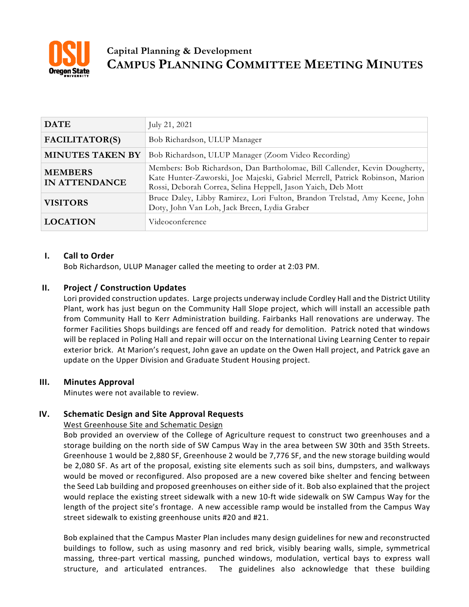

# **Capital Planning & Development CAMPUS PLANNING COMMITTEE MEETING MINUTES**

| <b>DATE</b>                     | July 21, 2021                                                                                                                                                                                                              |
|---------------------------------|----------------------------------------------------------------------------------------------------------------------------------------------------------------------------------------------------------------------------|
| FACILITATOR(S)                  | Bob Richardson, ULUP Manager                                                                                                                                                                                               |
| <b>MINUTES TAKEN BY</b>         | Bob Richardson, ULUP Manager (Zoom Video Recording)                                                                                                                                                                        |
| <b>MEMBERS</b><br>IN ATTENDANCE | Members: Bob Richardson, Dan Bartholomae, Bill Callender, Kevin Dougherty,<br>Kate Hunter-Zaworski, Joe Majeski, Gabriel Merrell, Patrick Robinson, Marion<br>Rossi, Deborah Correa, Selina Heppell, Jason Yaich, Deb Mott |
| <b>VISITORS</b>                 | Bruce Daley, Libby Ramirez, Lori Fulton, Brandon Trelstad, Amy Keene, John<br>Doty, John Van Loh, Jack Breen, Lydia Graber                                                                                                 |
| <b>LOCATION</b>                 | Videoconference                                                                                                                                                                                                            |

## **I. Call to Order**

Bob Richardson, ULUP Manager called the meeting to order at 2:03 PM.

## **II. Project / Construction Updates**

Lori provided construction updates. Large projects underway include Cordley Hall and the District Utility Plant, work has just begun on the Community Hall Slope project, which will install an accessible path from Community Hall to Kerr Administration building. Fairbanks Hall renovations are underway. The former Facilities Shops buildings are fenced off and ready for demolition. Patrick noted that windows will be replaced in Poling Hall and repair will occur on the International Living Learning Center to repair exterior brick. At Marion's request, John gave an update on the Owen Hall project, and Patrick gave an update on the Upper Division and Graduate Student Housing project.

## **III. Minutes Approval**

Minutes were not available to review.

## **IV. Schematic Design and Site Approval Requests**

#### West Greenhouse Site and Schematic Design

Bob provided an overview of the College of Agriculture request to construct two greenhouses and a storage building on the north side of SW Campus Way in the area between SW 30th and 35th Streets. Greenhouse 1 would be 2,880 SF, Greenhouse 2 would be 7,776 SF, and the new storage building would be 2,080 SF. As art of the proposal, existing site elements such as soil bins, dumpsters, and walkways would be moved or reconfigured. Also proposed are a new covered bike shelter and fencing between the Seed Lab building and proposed greenhouses on either side of it. Bob also explained that the project would replace the existing street sidewalk with a new 10-ft wide sidewalk on SW Campus Way for the length of the project site's frontage. A new accessible ramp would be installed from the Campus Way street sidewalk to existing greenhouse units #20 and #21.

Bob explained that the Campus Master Plan includes many design guidelines for new and reconstructed buildings to follow, such as using masonry and red brick, visibly bearing walls, simple, symmetrical massing, three-part vertical massing, punched windows, modulation, vertical bays to express wall structure, and articulated entrances. The guidelines also acknowledge that these building